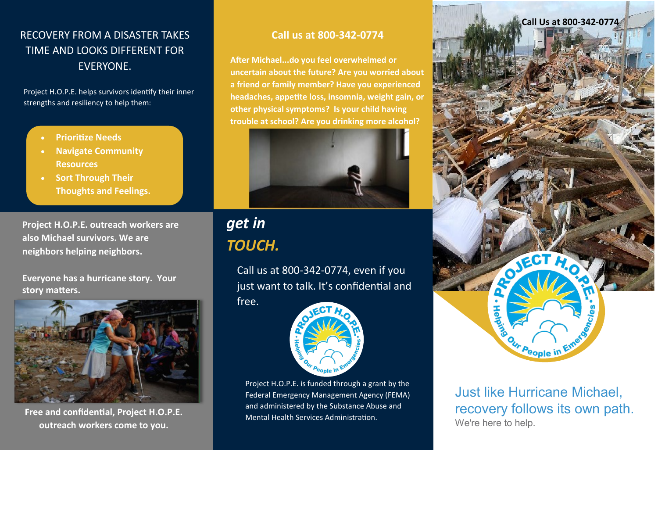### RECOVERY FROM A DISASTER TAKES TIME AND LOOKS DIFFERENT FOR EVERYONE.

Project H.O.P.E. helps survivors identify their inner strengths and resiliency to help them:

- **Prioritize Needs**
- **Navigate Community Resources**
- **Sort Through Their Thoughts and Feelings.**

**Project H.O.P.E. outreach workers are also Michael survivors. We are neighbors helping neighbors.**

**Everyone has a hurricane story. Your story matters.**



**Free and confidential, Project H.O.P.E. outreach workers come to you.**

#### **Call us at 800-342-0774**

**After Michael...do you feel overwhelmed or uncertain about the future? Are you worried about a friend or family member? Have you experienced headaches, appetite loss, insomnia, weight gain, or other physical symptoms? Is your child having trouble at school? Are you drinking more alcohol?**



## *get in TOUCH.*

free.

Call us at 800-342-0774, even if you just want to talk. It's confidential and



Project H.O.P.E. is funded through a grant by the Federal Emergency Management Agency (FEMA) and administered by the Substance Abuse and Mental Health Services Administration.



Just like Hurricane Michael, recovery follows its own path. We're here to help.